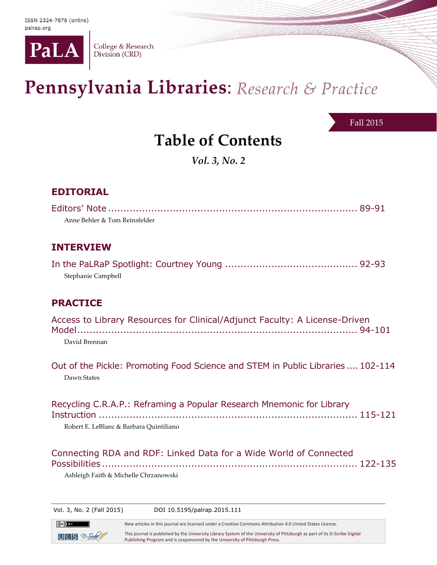

College & Research Division (CRD)

# Pennsylvania Libraries: Research & Practice

Fall 2015

## **Table of Contents**

*Vol. 3, No. 2*

### **EDITORIAL**

 $(cc)$  by

 $ULI S 2$ -Sorbe

| Anne Behler & Tom Reinsfelder                                                                                    |  |
|------------------------------------------------------------------------------------------------------------------|--|
| <b>INTERVIEW</b>                                                                                                 |  |
| Stephanie Campbell                                                                                               |  |
| <b>PRACTICE</b>                                                                                                  |  |
| Access to Library Resources for Clinical/Adjunct Faculty: A License-Driven<br>David Brennan                      |  |
| Out of the Pickle: Promoting Food Science and STEM in Public Libraries  102-114<br>Dawn States                   |  |
| Recycling C.R.A.P.: Reframing a Popular Research Mnemonic for Library<br>Robert E. LeBlanc & Barbara Quintiliano |  |
| Connecting RDA and RDF: Linked Data for a Wide World of Connected<br>Ashleigh Faith & Michelle Chrzanowski       |  |

Vol. 3, No. 2 (Fall 2015) DOI 10.5195/palrap.2015.111

New articles in this journal are licensed under a Creative Commons Attribution 4.0 United States License. This journal is published by th[e University Library System](http://www.library.pitt.edu/) of th[e University of Pittsburgh](http://www.pitt.edu/) as part of it[s D-Scribe Digital](http://www.library.pitt.edu/d-scribe-digital-collections)  [Publishing Program](http://www.library.pitt.edu/d-scribe-digital-collections) and is cosponsored by th[e University of Pittsburgh Press.](http://upress.pitt.edu/)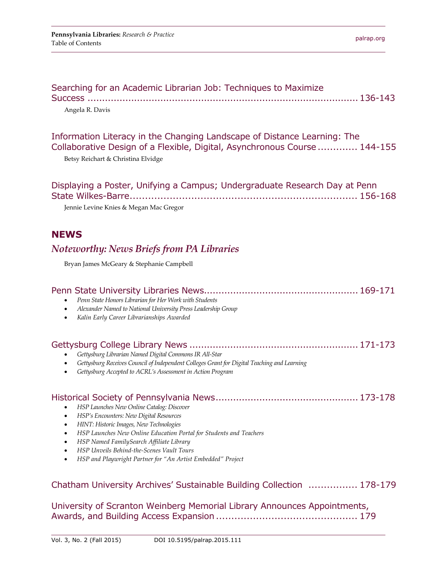| Searching for an Academic Librarian Job: Techniques to Maximize |  |
|-----------------------------------------------------------------|--|
|                                                                 |  |
| Angela R. Davis                                                 |  |

#### Information Literacy in the Changing Landscape of Distance Learning: The Collaborative Design of a Flexible, Digital, Asynchronous Course ............. 144-155

Betsy Reichart & Christina Elvidge

| Displaying a Poster, Unifying a Campus; Undergraduate Research Day at Penn |  |
|----------------------------------------------------------------------------|--|
|                                                                            |  |
| Jennie Levine Knies & Megan Mac Gregor                                     |  |

#### **NEWS**

#### *Noteworthy: News Briefs from PA Libraries*

Bryan James McGeary & Stephanie Campbell

| Penn State Honors Librarian for Her Work with Students<br>Alexander Named to National University Press Leadership Group<br>$\bullet$<br>Kalin Early Career Librarianships Awarded<br>$\bullet$                                                                                                                                                                                                                                                                  |
|-----------------------------------------------------------------------------------------------------------------------------------------------------------------------------------------------------------------------------------------------------------------------------------------------------------------------------------------------------------------------------------------------------------------------------------------------------------------|
| Gettysburg Librarian Named Digital Commons IR All-Star<br>Gettysburg Receives Council of Independent Colleges Grant for Digital Teaching and Learning<br>Gettysburg Accepted to ACRL's Assessment in Action Program                                                                                                                                                                                                                                             |
| HSP Launches New Online Catalog: Discover<br>$\bullet$<br>HSP's Encounters: New Digital Resources<br>$\bullet$<br>HINT: Historic Images, New Technologies<br>$\bullet$<br>HSP Launches New Online Education Portal for Students and Teachers<br>$\bullet$<br>HSP Named FamilySearch Affiliate Library<br>$\bullet$<br><b>HSP Unveils Behind-the-Scenes Vault Tours</b><br>$\bullet$<br>HSP and Playwright Partner for "An Artist Embedded" Project<br>$\bullet$ |
| Chatham University Archives' Sustainable Building Collection  178-179                                                                                                                                                                                                                                                                                                                                                                                           |
| University of Scranton Weinberg Memorial Library Announces Appointments,                                                                                                                                                                                                                                                                                                                                                                                        |